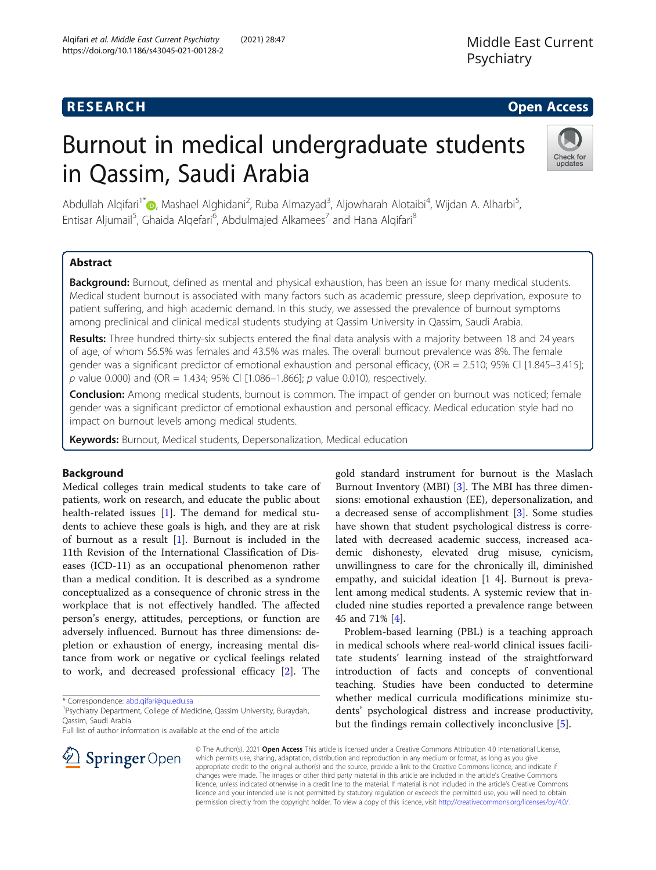## **RESEARCH CHE Open Access**

# Burnout in medical undergraduate students in Qassim, Saudi Arabia



Abdullah Alqifari<sup>1\*</sup>©[,](http://orcid.org/0000-0003-0919-9071) Mashael Alghidani<sup>2</sup>, Ruba Almazyad<sup>3</sup>, Aljowharah Alotaibi<sup>4</sup>, Wijdan A. Alharbi<sup>5</sup> , Entisar Aljumail<sup>5</sup>, Ghaida Alqefari<sup>6</sup>, Abdulmajed Alkamees<sup>7</sup> and Hana Alqifari<sup>8</sup>

## Abstract

Background: Burnout, defined as mental and physical exhaustion, has been an issue for many medical students. Medical student burnout is associated with many factors such as academic pressure, sleep deprivation, exposure to patient suffering, and high academic demand. In this study, we assessed the prevalence of burnout symptoms among preclinical and clinical medical students studying at Qassim University in Qassim, Saudi Arabia.

Results: Three hundred thirty-six subjects entered the final data analysis with a majority between 18 and 24 years of age, of whom 56.5% was females and 43.5% was males. The overall burnout prevalence was 8%. The female gender was a significant predictor of emotional exhaustion and personal efficacy, (OR = 2.510; 95% Cl [1.845–3.415]; p value 0.000) and (OR = 1.434; 95% CI [1.086-1.866]; p value 0.010), respectively.

Conclusion: Among medical students, burnout is common. The impact of gender on burnout was noticed; female gender was a significant predictor of emotional exhaustion and personal efficacy. Medical education style had no impact on burnout levels among medical students.

Keywords: Burnout, Medical students, Depersonalization, Medical education

## Background

Medical colleges train medical students to take care of patients, work on research, and educate the public about health-related issues [\[1](#page-4-0)]. The demand for medical students to achieve these goals is high, and they are at risk of burnout as a result [\[1](#page-4-0)]. Burnout is included in the 11th Revision of the International Classification of Diseases (ICD-11) as an occupational phenomenon rather than a medical condition. It is described as a syndrome conceptualized as a consequence of chronic stress in the workplace that is not effectively handled. The affected person's energy, attitudes, perceptions, or function are adversely influenced. Burnout has three dimensions: depletion or exhaustion of energy, increasing mental distance from work or negative or cyclical feelings related to work, and decreased professional efficacy [\[2](#page-4-0)]. The

<sup>1</sup> Psychiatry Department, College of Medicine, Qassim University, Buraydah, Qassim, Saudi Arabia

Full list of author information is available at the end of the article

gold standard instrument for burnout is the Maslach Burnout Inventory (MBI) [[3\]](#page-5-0). The MBI has three dimensions: emotional exhaustion (EE), depersonalization, and a decreased sense of accomplishment [\[3](#page-5-0)]. Some studies have shown that student psychological distress is correlated with decreased academic success, increased academic dishonesty, elevated drug misuse, cynicism, unwillingness to care for the chronically ill, diminished empathy, and suicidal ideation [1 4]. Burnout is prevalent among medical students. A systemic review that included nine studies reported a prevalence range between 45 and 71% [\[4](#page-5-0)].

Problem-based learning (PBL) is a teaching approach in medical schools where real-world clinical issues facilitate students' learning instead of the straightforward introduction of facts and concepts of conventional teaching. Studies have been conducted to determine whether medical curricula modifications minimize students' psychological distress and increase productivity, but the findings remain collectively inconclusive [[5](#page-5-0)].



© The Author(s). 2021 Open Access This article is licensed under a Creative Commons Attribution 4.0 International License, which permits use, sharing, adaptation, distribution and reproduction in any medium or format, as long as you give appropriate credit to the original author(s) and the source, provide a link to the Creative Commons licence, and indicate if changes were made. The images or other third party material in this article are included in the article's Creative Commons licence, unless indicated otherwise in a credit line to the material. If material is not included in the article's Creative Commons licence and your intended use is not permitted by statutory regulation or exceeds the permitted use, you will need to obtain permission directly from the copyright holder. To view a copy of this licence, visit <http://creativecommons.org/licenses/by/4.0/>.

<sup>\*</sup> Correspondence: [abd.qifari@qu.edu.sa](mailto:abd.qifari@qu.edu.sa) <sup>1</sup>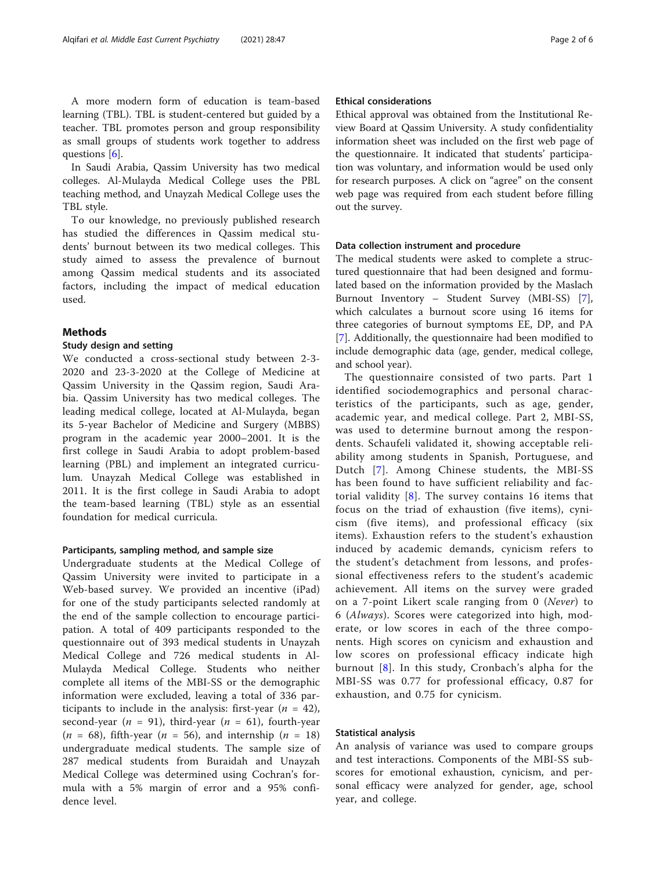A more modern form of education is team-based learning (TBL). TBL is student-centered but guided by a teacher. TBL promotes person and group responsibility as small groups of students work together to address questions [[6](#page-5-0)].

In Saudi Arabia, Qassim University has two medical colleges. Al-Mulayda Medical College uses the PBL teaching method, and Unayzah Medical College uses the TBL style.

To our knowledge, no previously published research has studied the differences in Qassim medical students' burnout between its two medical colleges. This study aimed to assess the prevalence of burnout among Qassim medical students and its associated factors, including the impact of medical education used.

#### Methods

#### Study design and setting

We conducted a cross-sectional study between 2-3- 2020 and 23-3-2020 at the College of Medicine at Qassim University in the Qassim region, Saudi Arabia. Qassim University has two medical colleges. The leading medical college, located at Al-Mulayda, began its 5-year Bachelor of Medicine and Surgery (MBBS) program in the academic year 2000–2001. It is the first college in Saudi Arabia to adopt problem-based learning (PBL) and implement an integrated curriculum. Unayzah Medical College was established in 2011. It is the first college in Saudi Arabia to adopt the team-based learning (TBL) style as an essential foundation for medical curricula.

#### Participants, sampling method, and sample size

Undergraduate students at the Medical College of Qassim University were invited to participate in a Web-based survey. We provided an incentive (iPad) for one of the study participants selected randomly at the end of the sample collection to encourage participation. A total of 409 participants responded to the questionnaire out of 393 medical students in Unayzah Medical College and 726 medical students in Al-Mulayda Medical College. Students who neither complete all items of the MBI-SS or the demographic information were excluded, leaving a total of 336 participants to include in the analysis: first-year  $(n = 42)$ , second-year ( $n = 91$ ), third-year ( $n = 61$ ), fourth-year  $(n = 68)$ , fifth-year  $(n = 56)$ , and internship  $(n = 18)$ undergraduate medical students. The sample size of 287 medical students from Buraidah and Unayzah Medical College was determined using Cochran's formula with a 5% margin of error and a 95% confidence level.

#### Ethical considerations

Ethical approval was obtained from the Institutional Review Board at Qassim University. A study confidentiality information sheet was included on the first web page of the questionnaire. It indicated that students' participation was voluntary, and information would be used only for research purposes. A click on "agree" on the consent web page was required from each student before filling out the survey.

#### Data collection instrument and procedure

The medical students were asked to complete a structured questionnaire that had been designed and formulated based on the information provided by the Maslach Burnout Inventory – Student Survey (MBI-SS) [\[7](#page-5-0)], which calculates a burnout score using 16 items for three categories of burnout symptoms EE, DP, and PA [[7\]](#page-5-0). Additionally, the questionnaire had been modified to include demographic data (age, gender, medical college, and school year).

The questionnaire consisted of two parts. Part 1 identified sociodemographics and personal characteristics of the participants, such as age, gender, academic year, and medical college. Part 2, MBI-SS, was used to determine burnout among the respondents. Schaufeli validated it, showing acceptable reliability among students in Spanish, Portuguese, and Dutch [[7\]](#page-5-0). Among Chinese students, the MBI-SS has been found to have sufficient reliability and factorial validity [[8](#page-5-0)]. The survey contains 16 items that focus on the triad of exhaustion (five items), cynicism (five items), and professional efficacy (six items). Exhaustion refers to the student's exhaustion induced by academic demands, cynicism refers to the student's detachment from lessons, and professional effectiveness refers to the student's academic achievement. All items on the survey were graded on a 7-point Likert scale ranging from 0 (Never) to 6 (Always). Scores were categorized into high, moderate, or low scores in each of the three components. High scores on cynicism and exhaustion and low scores on professional efficacy indicate high burnout [[8\]](#page-5-0). In this study, Cronbach's alpha for the MBI-SS was 0.77 for professional efficacy, 0.87 for exhaustion, and 0.75 for cynicism.

#### Statistical analysis

An analysis of variance was used to compare groups and test interactions. Components of the MBI-SS subscores for emotional exhaustion, cynicism, and personal efficacy were analyzed for gender, age, school year, and college.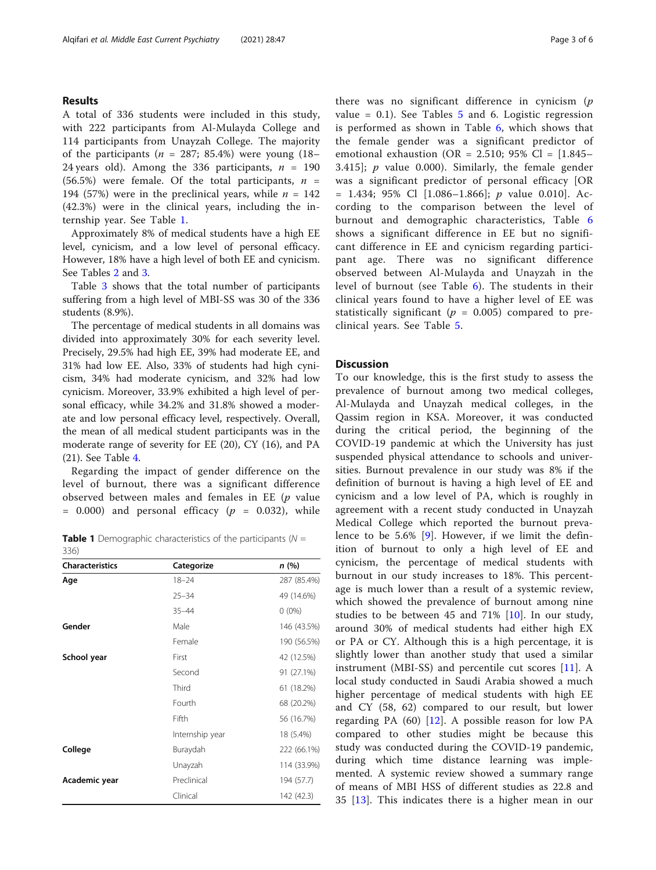#### Results

A total of 336 students were included in this study, with 222 participants from Al-Mulayda College and 114 participants from Unayzah College. The majority of the participants ( $n = 287$ ; 85.4%) were young (18– 24 years old). Among the 336 participants,  $n = 190$ (56.5%) were female. Of the total participants,  $n =$ 194 (57%) were in the preclinical years, while  $n = 142$ (42.3%) were in the clinical years, including the internship year. See Table 1.

Approximately 8% of medical students have a high EE level, cynicism, and a low level of personal efficacy. However, 18% have a high level of both EE and cynicism. See Tables [2](#page-3-0) and [3.](#page-3-0)

Table [3](#page-3-0) shows that the total number of participants suffering from a high level of MBI-SS was 30 of the 336 students (8.9%).

The percentage of medical students in all domains was divided into approximately 30% for each severity level. Precisely, 29.5% had high EE, 39% had moderate EE, and 31% had low EE. Also, 33% of students had high cynicism, 34% had moderate cynicism, and 32% had low cynicism. Moreover, 33.9% exhibited a high level of personal efficacy, while 34.2% and 31.8% showed a moderate and low personal efficacy level, respectively. Overall, the mean of all medical student participants was in the moderate range of severity for EE (20), CY (16), and PA (21). See Table [4.](#page-3-0)

Regarding the impact of gender difference on the level of burnout, there was a significant difference observed between males and females in EE  $(p \text{ value})$  $= 0.000$  and personal efficacy ( $p = 0.032$ ), while

**Table 1** Demographic characteristics of the participants ( $N =$ 336)

| <b>Characteristics</b> | Categorize      | n(%)        |
|------------------------|-----------------|-------------|
| Age                    | $18 - 24$       | 287 (85.4%) |
|                        | $25 - 34$       | 49 (14.6%)  |
|                        | $35 - 44$       | $0(0\%)$    |
| Gender                 | Male            | 146 (43.5%) |
|                        | Female          | 190 (56.5%) |
| School year            | First           | 42 (12.5%)  |
|                        | Second          | 91 (27.1%)  |
|                        | Third           | 61 (18.2%)  |
|                        | Fourth          | 68 (20.2%)  |
|                        | Fifth           | 56 (16.7%)  |
|                        | Internship year | 18 (5.4%)   |
| College                | Buraydah        | 222 (66.1%) |
|                        | Unayzah         | 114 (33.9%) |
| Academic year          | Preclinical     | 194 (57.7)  |
|                        | Clinical        | 142 (42.3)  |

there was no significant difference in cynicism  $(p)$ value =  $0.1$ ). See Tables [5](#page-4-0) and 6. Logistic regression is performed as shown in Table [6](#page-4-0), which shows that the female gender was a significant predictor of emotional exhaustion (OR = 2.510; 95% Cl =  $[1.845-$ 3.415];  $p$  value 0.000). Similarly, the female gender was a significant predictor of personal efficacy [OR  $= 1.434$ ; 95% Cl [1.086-1.866]; *p* value 0.010]. According to the comparison between the level of burnout and demographic characteristics, Table [6](#page-4-0) shows a significant difference in EE but no significant difference in EE and cynicism regarding participant age. There was no significant difference observed between Al-Mulayda and Unayzah in the level of burnout (see Table [6](#page-4-0)). The students in their clinical years found to have a higher level of EE was statistically significant ( $p = 0.005$ ) compared to preclinical years. See Table [5](#page-4-0).

#### **Discussion**

To our knowledge, this is the first study to assess the prevalence of burnout among two medical colleges, Al-Mulayda and Unayzah medical colleges, in the Qassim region in KSA. Moreover, it was conducted during the critical period, the beginning of the COVID-19 pandemic at which the University has just suspended physical attendance to schools and universities. Burnout prevalence in our study was 8% if the definition of burnout is having a high level of EE and cynicism and a low level of PA, which is roughly in agreement with a recent study conducted in Unayzah Medical College which reported the burnout prevalence to be 5.6% [[9](#page-5-0)]. However, if we limit the definition of burnout to only a high level of EE and cynicism, the percentage of medical students with burnout in our study increases to 18%. This percentage is much lower than a result of a systemic review, which showed the prevalence of burnout among nine studies to be between 45 and 71% [\[10](#page-5-0)]. In our study, around 30% of medical students had either high EX or PA or CY. Although this is a high percentage, it is slightly lower than another study that used a similar instrument (MBI-SS) and percentile cut scores  $[11]$  $[11]$ . A local study conducted in Saudi Arabia showed a much higher percentage of medical students with high EE and CY (58, 62) compared to our result, but lower regarding PA  $(60)$  [[12\]](#page-5-0). A possible reason for low PA compared to other studies might be because this study was conducted during the COVID-19 pandemic, during which time distance learning was implemented. A systemic review showed a summary range of means of MBI HSS of different studies as 22.8 and 35 [[13\]](#page-5-0). This indicates there is a higher mean in our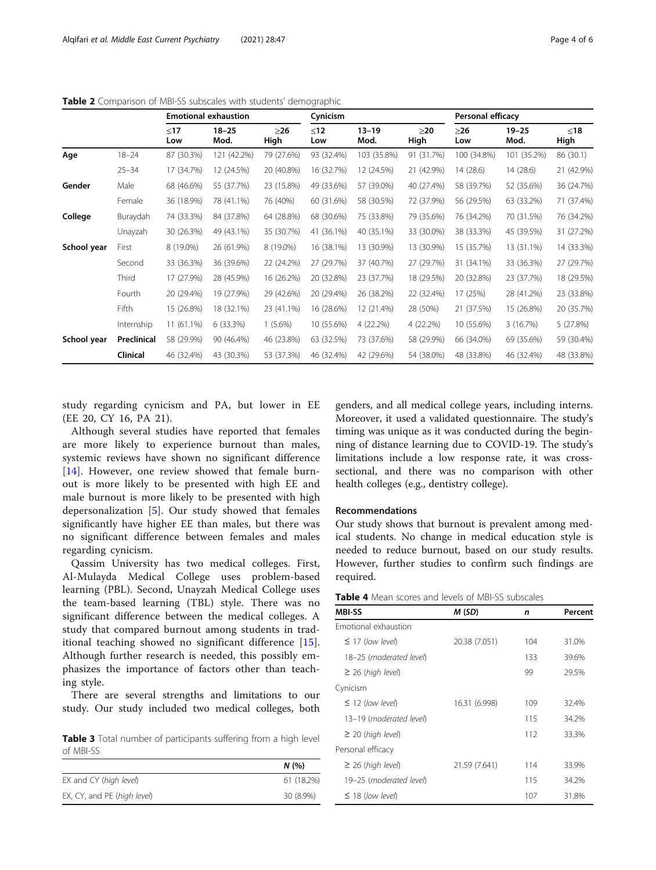|             |             | <b>Emotional exhaustion</b> |                   |                   | Cynicism     |                   |                   | Personal efficacy |                   |               |
|-------------|-------------|-----------------------------|-------------------|-------------------|--------------|-------------------|-------------------|-------------------|-------------------|---------------|
|             |             | $≤17$<br>Low                | $18 - 25$<br>Mod. | $\geq$ 26<br>High | $≤12$<br>Low | $13 - 19$<br>Mod. | $\geq$ 20<br>High | $\geq$ 26<br>Low  | $19 - 25$<br>Mod. | $≤18$<br>High |
| Age         | $18 - 24$   | 87 (30.3%)                  | 121 (42.2%)       | 79 (27.6%)        | 93 (32.4%)   | 103 (35.8%)       | 91 (31.7%)        | 100 (34.8%)       | 101 (35.2%)       | 86 (30.1)     |
|             | $25 - 34$   | 17 (34.7%)                  | 12 (24.5%)        | 20 (40.8%)        | 16 (32.7%)   | 12 (24.5%)        | 21 (42.9%)        | 14 (28.6)         | 14(28.6)          | 21 (42.9%)    |
| Gender      | Male        | 68 (46.6%)                  | 55 (37.7%)        | 23 (15.8%)        | 49 (33.6%)   | 57 (39.0%)        | 40 (27.4%)        | 58 (39.7%)        | 52 (35.6%)        | 36 (24.7%)    |
|             | Female      | 36 (18.9%)                  | 78 (41.1%)        | 76 (40%)          | 60 (31.6%)   | 58 (30.5%)        | 72 (37.9%)        | 56 (29.5%)        | 63 (33.2%)        | 71 (37.4%)    |
| College     | Buraydah    | 74 (33.3%)                  | 84 (37.8%)        | 64 (28.8%)        | 68 (30.6%)   | 75 (33.8%)        | 79 (35.6%)        | 76 (34.2%)        | 70 (31.5%)        | 76 (34.2%)    |
|             | Unayzah     | 30 (26.3%)                  | 49 (43.1%)        | 35 (30.7%)        | 41 (36.1%)   | 40 (35.1%)        | 33 (30.0%)        | 38 (33.3%)        | 45 (39.5%)        | 31 (27.2%)    |
| School year | First       | 8 (19.0%)                   | 26 (61.9%)        | 8 (19.0%)         | 16 (38.1%)   | 13 (30.9%)        | 13 (30.9%)        | 15 (35.7%)        | 13 (31.1%)        | 14 (33.3%)    |
|             | Second      | 33 (36.3%)                  | 36 (39.6%)        | 22 (24.2%)        | 27 (29.7%)   | 37 (40.7%)        | 27 (29.7%)        | 31 (34.1%)        | 33 (36.3%)        | 27 (29.7%)    |
|             | Third       | 17 (27.9%)                  | 28 (45.9%)        | 16 (26.2%)        | 20 (32.8%)   | 23 (37.7%)        | 18 (29.5%)        | 20 (32.8%)        | 23 (37.7%)        | 18 (29.5%)    |
|             | Fourth      | 20 (29.4%)                  | 19 (27.9%)        | 29 (42.6%)        | 20 (29.4%)   | 26 (38.2%)        | 22 (32.4%)        | 17 (25%)          | 28 (41.2%)        | 23 (33.8%)    |
|             | Fifth       | 15 (26.8%)                  | 18 (32.1%)        | 23 (41.1%)        | 16 (28.6%)   | 12 (21.4%)        | 28 (50%)          | 21 (37.5%)        | 15 (26.8%)        | 20 (35.7%)    |
|             | Internship  | 11 (61.1%)                  | 6 (33.3%)         | $1(5.6\%)$        | 10 (55.6%)   | 4 (22.2%)         | 4 (22.2%)         | 10 (55.6%)        | 3 (16.7%)         | 5 (27.8%)     |
| School year | Preclinical | 58 (29.9%)                  | 90 (46.4%)        | 46 (23.8%)        | 63 (32.5%)   | 73 (37.6%)        | 58 (29.9%)        | 66 (34.0%)        | 69 (35.6%)        | 59 (30.4%)    |
|             | Clinical    | 46 (32.4%)                  | 43 (30.3%)        | 53 (37.3%)        | 46 (32.4%)   | 42 (29.6%)        | 54 (38.0%)        | 48 (33.8%)        | 46 (32.4%)        | 48 (33.8%)    |

<span id="page-3-0"></span>Table 2 Comparison of MBI-SS subscales with students' demographic

study regarding cynicism and PA, but lower in EE (EE 20, CY 16, PA 21).

Although several studies have reported that females are more likely to experience burnout than males, systemic reviews have shown no significant difference [[14\]](#page-5-0). However, one review showed that female burnout is more likely to be presented with high EE and male burnout is more likely to be presented with high depersonalization [[5\]](#page-5-0). Our study showed that females significantly have higher EE than males, but there was no significant difference between females and males regarding cynicism.

Qassim University has two medical colleges. First, Al-Mulayda Medical College uses problem-based learning (PBL). Second, Unayzah Medical College uses the team-based learning (TBL) style. There was no significant difference between the medical colleges. A study that compared burnout among students in traditional teaching showed no significant difference [\[15](#page-5-0)]. Although further research is needed, this possibly emphasizes the importance of factors other than teaching style.

There are several strengths and limitations to our study. Our study included two medical colleges, both

Table 3 Total number of participants suffering from a high level of MBI-SS

|                             | N(96)      |
|-----------------------------|------------|
| EX and CY (high level)      | 61 (18.2%) |
| EX, CY, and PE (high level) | 30 (8.9%)  |

genders, and all medical college years, including interns. Moreover, it used a validated questionnaire. The study's timing was unique as it was conducted during the beginning of distance learning due to COVID-19. The study's limitations include a low response rate, it was crosssectional, and there was no comparison with other health colleges (e.g., dentistry college).

#### Recommendations

Our study shows that burnout is prevalent among medical students. No change in medical education style is needed to reduce burnout, based on our study results. However, further studies to confirm such findings are required.

| <b>Table 4</b> Mean scores and levels of MBI-SS subscales |
|-----------------------------------------------------------|
|-----------------------------------------------------------|

| <b>MBI-SS</b>           | M (SD)        | n   | Percent |
|-------------------------|---------------|-----|---------|
| Emotional exhaustion    |               |     |         |
| $\leq$ 17 (low level)   | 20.38 (7.051) | 104 | 31.0%   |
| 18–25 (moderated level) |               | 133 | 39.6%   |
| $\geq$ 26 (high level)  |               | 99  | 29.5%   |
| Cynicism                |               |     |         |
| $\leq$ 12 (low level)   | 16.31 (6.998) | 109 | 32.4%   |
| 13–19 (moderated level) |               | 115 | 34.2%   |
| $\geq$ 20 (high level)  |               | 112 | 33.3%   |
| Personal efficacy       |               |     |         |
| $\geq$ 26 (high level)  | 21.59 (7.641) | 114 | 33.9%   |
| 19–25 (moderated level) |               | 115 | 34.2%   |
| $\leq$ 18 (low level)   |               | 107 | 31.8%   |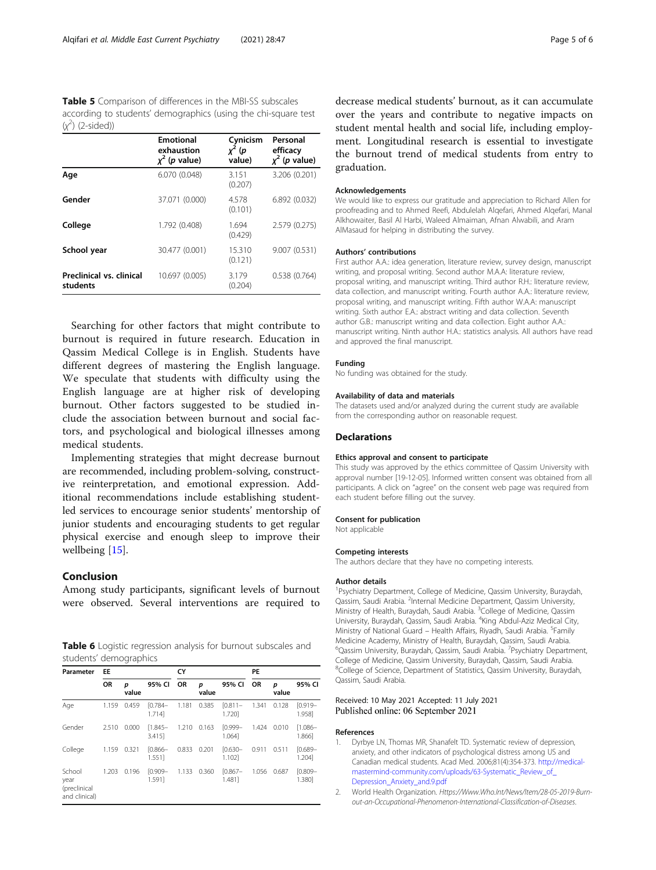<span id="page-4-0"></span>Table 5 Comparison of differences in the MBI-SS subscales according to students' demographics (using the chi-square test  $(x^2)$  (2-sided))

|                                      | <b>Emotional</b><br>exhaustion<br>$x^2$ ( <i>p</i> value) | Cynicism<br>(p<br>value) | Personal<br>efficacy<br>$x^2$ (p value) |
|--------------------------------------|-----------------------------------------------------------|--------------------------|-----------------------------------------|
| Age                                  | 6.070 (0.048)                                             | 3.151<br>(0.207)         | 3.206 (0.201)                           |
| Gender                               | 37.071 (0.000)                                            | 4.578<br>(0.101)         | 6.892 (0.032)                           |
| College                              | 1.792 (0.408)                                             | 1.694<br>(0.429)         | 2.579 (0.275)                           |
| School year                          | 30.477 (0.001)                                            | 15.310<br>(0.121)        | 9.007 (0.531)                           |
| Preclinical vs. clinical<br>students | 10.697 (0.005)                                            | 3.179<br>(0.204)         | 0.538(0.764)                            |

Searching for other factors that might contribute to burnout is required in future research. Education in Qassim Medical College is in English. Students have different degrees of mastering the English language. We speculate that students with difficulty using the English language are at higher risk of developing burnout. Other factors suggested to be studied include the association between burnout and social factors, and psychological and biological illnesses among medical students.

Implementing strategies that might decrease burnout are recommended, including problem-solving, constructive reinterpretation, and emotional expression. Additional recommendations include establishing studentled services to encourage senior students' mentorship of junior students and encouraging students to get regular physical exercise and enough sleep to improve their wellbeing [\[15](#page-5-0)].

#### Conclusion

Among study participants, significant levels of burnout were observed. Several interventions are required to

Table 6 Logistic regression analysis for burnout subscales and students' demographics

| Parameter                                       | <b>EE</b> |            |                      | CY        |            |                      | PE        |            |                      |
|-------------------------------------------------|-----------|------------|----------------------|-----------|------------|----------------------|-----------|------------|----------------------|
|                                                 | <b>OR</b> | p<br>value | 95% CI               | <b>OR</b> | p<br>value | 95% CI               | <b>OR</b> | p<br>value | 95% CI               |
| Age                                             | 1.159     | 0.459      | $[0.784 -$<br>1.7141 | 1.181     | 0.385      | [0.811]<br>1.7201    | 1.341     | 0.128      | $[0.919 -$<br>1.9581 |
| Gender                                          | 2.510     | 0.000      | $[1.845 -$<br>3.4151 | 1.210     | 0.163      | $[0.999 -$<br>1.0641 | 1.424     | 0.010      | $1.086 -$<br>1.8661  |
| College                                         | 1.159     | 0.321      | $[0.866 -$<br>1.5511 | 0.833     | 0.201      | $[0.630 -$<br>1.1021 | 0.911     | 0.511      | $[0.689 -$<br>1.2041 |
| School<br>year<br>(preclinical<br>and clinical) | 1.203     | 0.196      | $[0.909 -$<br>1.5911 | 1.133     | 0.360      | $[0.867 -$<br>1.4811 | 1.056     | 0.687      | $[0.809 -$<br>1.3801 |

decrease medical students' burnout, as it can accumulate over the years and contribute to negative impacts on student mental health and social life, including employment. Longitudinal research is essential to investigate the burnout trend of medical students from entry to graduation.

#### Acknowledgements

We would like to express our gratitude and appreciation to Richard Allen for proofreading and to Ahmed Reefi, Abdulelah Alqefari, Ahmed Alqefari, Manal Alkhowaiter, Basil Al Harbi, Waleed Almaiman, Afnan Alwabili, and Aram AlMasaud for helping in distributing the survey.

#### Authors' contributions

First author A.A.: idea generation, literature review, survey design, manuscript writing, and proposal writing. Second author M.A.A: literature review, proposal writing, and manuscript writing. Third author R.H.: literature review, data collection, and manuscript writing. Fourth author A.A.: literature review, proposal writing, and manuscript writing. Fifth author W.A.A: manuscript writing. Sixth author E.A.: abstract writing and data collection. Seventh author G.B.: manuscript writing and data collection. Eight author A.A.: manuscript writing. Ninth author H.A.: statistics analysis. All authors have read and approved the final manuscript.

#### Funding

No funding was obtained for the study.

#### Availability of data and materials

The datasets used and/or analyzed during the current study are available from the corresponding author on reasonable request.

#### **Declarations**

#### Ethics approval and consent to participate

This study was approved by the ethics committee of Qassim University with approval number [19-12-05]. Informed written consent was obtained from all participants. A click on "agree" on the consent web page was required from each student before filling out the survey.

#### Consent for publication

Not applicable

#### Competing interests

The authors declare that they have no competing interests.

#### Author details

<sup>1</sup>Psychiatry Department, College of Medicine, Qassim University, Buraydah, Qassim, Saudi Arabia. <sup>2</sup>Internal Medicine Department, Qassim University Ministry of Health, Buraydah, Saudi Arabia. <sup>3</sup>College of Medicine, Qassim University, Buraydah, Qassim, Saudi Arabia. <sup>4</sup>King Abdul-Aziz Medical City, Ministry of National Guard - Health Affairs, Riyadh, Saudi Arabia. <sup>5</sup>Family Medicine Academy, Ministry of Health, Buraydah, Qassim, Saudi Arabia. <sup>6</sup>Qassim University, Buraydah, Qassim, Saudi Arabia. <sup>7</sup>Psychiatry Department College of Medicine, Qassim University, Buraydah, Qassim, Saudi Arabia. <sup>8</sup>College of Science, Department of Statistics, Qassim University, Buraydah Qassim, Saudi Arabia.

#### Received: 10 May 2021 Accepted: 11 July 2021 Published online: 06 September 2021

#### References

- 1. Dyrbye LN, Thomas MR, Shanafelt TD. Systematic review of depression, anxiety, and other indicators of psychological distress among US and Canadian medical students. Acad Med. 2006;81(4):354-373. [http://medical](http://medical-mastermind-community.com/uploads/63-Systematic_Review_of_Depression_Anxiety_and.9.pdf)[mastermind-community.com/uploads/63-Systematic\\_Review\\_of\\_](http://medical-mastermind-community.com/uploads/63-Systematic_Review_of_Depression_Anxiety_and.9.pdf) [Depression\\_Anxiety\\_and.9.pdf](http://medical-mastermind-community.com/uploads/63-Systematic_Review_of_Depression_Anxiety_and.9.pdf)
- 2. World Health Organization. Https://Www.Who.Int/News/Item/28-05-2019-Burnout-an-Occupational-Phenomenon-International-Classification-of-Diseases.